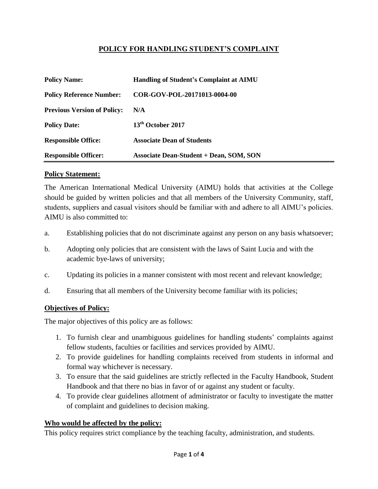# **POLICY FOR HANDLING STUDENT'S COMPLAINT**

| <b>Policy Name:</b>                | <b>Handling of Student's Complaint at AIMU</b> |
|------------------------------------|------------------------------------------------|
| <b>Policy Reference Number:</b>    | COR-GOV-POL-20171013-0004-00                   |
| <b>Previous Version of Policy:</b> | N/A                                            |
| <b>Policy Date:</b>                | 13 <sup>th</sup> October 2017                  |
| <b>Responsible Office:</b>         | <b>Associate Dean of Students</b>              |
| <b>Responsible Officer:</b>        | <b>Associate Dean-Student + Dean, SOM, SON</b> |

### **Policy Statement:**

The American International Medical University (AIMU) holds that activities at the College should be guided by written policies and that all members of the University Community, staff, students, suppliers and casual visitors should be familiar with and adhere to all AIMU's policies. AIMU is also committed to:

- a. Establishing policies that do not discriminate against any person on any basis whatsoever;
- b. Adopting only policies that are consistent with the laws of Saint Lucia and with the academic bye-laws of university;
- c. Updating its policies in a manner consistent with most recent and relevant knowledge;
- d. Ensuring that all members of the University become familiar with its policies;

### **Objectives of Policy:**

The major objectives of this policy are as follows:

- 1. To furnish clear and unambiguous guidelines for handling students' complaints against fellow students, faculties or facilities and services provided by AIMU.
- 2. To provide guidelines for handling complaints received from students in informal and formal way whichever is necessary.
- 3. To ensure that the said guidelines are strictly reflected in the Faculty Handbook, Student Handbook and that there no bias in favor of or against any student or faculty.
- 4. To provide clear guidelines allotment of administrator or faculty to investigate the matter of complaint and guidelines to decision making.

#### **Who would be affected by the policy:**

This policy requires strict compliance by the teaching faculty, administration, and students.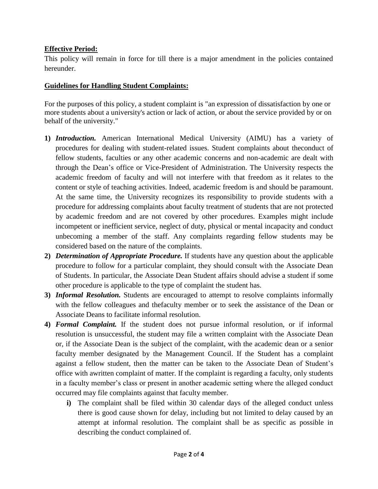## **Effective Period:**

This policy will remain in force for till there is a major amendment in the policies contained hereunder.

## **Guidelines for Handling Student Complaints:**

For the purposes of this policy, a student complaint is "an expression of dissatisfaction by one or more students about a university's action or lack of action, or about the service provided by or on behalf of the university."

- **1)** *Introduction.* American International Medical University (AIMU) has a variety of procedures for dealing with student-related issues. Student complaints about theconduct of fellow students, faculties or any other academic concerns and non-academic are dealt with through the Dean's office or Vice-President of Administration. The University respects the academic freedom of faculty and will not interfere with that freedom as it relates to the content or style of teaching activities. Indeed, academic freedom is and should be paramount. At the same time, the University recognizes its responsibility to provide students with a procedure for addressing complaints about faculty treatment of students that are not protected by academic freedom and are not covered by other procedures. Examples might include incompetent or inefficient service, neglect of duty, physical or mental incapacity and conduct unbecoming a member of the staff. Any complaints regarding fellow students may be considered based on the nature of the complaints.
- **2)** *Determination of Appropriate Procedure.* If students have any question about the applicable procedure to follow for a particular complaint, they should consult with the Associate Dean of Students. In particular, the Associate Dean Student affairs should advise a student if some other procedure is applicable to the type of complaint the student has.
- **3)** *Informal Resolution.* Students are encouraged to attempt to resolve complaints informally with the fellow colleagues and thefaculty member or to seek the assistance of the Dean or Associate Deans to facilitate informal resolution.
- **4)** *Formal Complaint.* If the student does not pursue informal resolution, or if informal resolution is unsuccessful, the student may file a written complaint with the Associate Dean or, if the Associate Dean is the subject of the complaint, with the academic dean or a senior faculty member designated by the Management Council. If the Student has a complaint against a fellow student, then the matter can be taken to the Associate Dean of Student's office with awritten complaint of matter. If the complaint is regarding a faculty, only students in a faculty member's class or present in another academic setting where the alleged conduct occurred may file complaints against that faculty member.
	- **i)** The complaint shall be filed within 30 calendar days of the alleged conduct unless there is good cause shown for delay, including but not limited to delay caused by an attempt at informal resolution. The complaint shall be as specific as possible in describing the conduct complained of.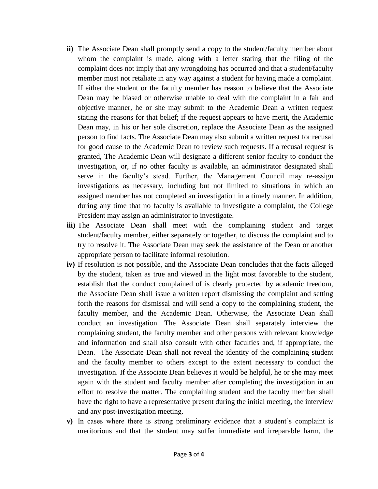- **ii**) The Associate Dean shall promptly send a copy to the student/faculty member about whom the complaint is made, along with a letter stating that the filing of the complaint does not imply that any wrongdoing has occurred and that a student/faculty member must not retaliate in any way against a student for having made a complaint. If either the student or the faculty member has reason to believe that the Associate Dean may be biased or otherwise unable to deal with the complaint in a fair and objective manner, he or she may submit to the Academic Dean a written request stating the reasons for that belief; if the request appears to have merit, the Academic Dean may, in his or her sole discretion, replace the Associate Dean as the assigned person to find facts. The Associate Dean may also submit a written request for recusal for good cause to the Academic Dean to review such requests. If a recusal request is granted, The Academic Dean will designate a different senior faculty to conduct the investigation, or, if no other faculty is available, an administrator designated shall serve in the faculty's stead. Further, the Management Council may re-assign investigations as necessary, including but not limited to situations in which an assigned member has not completed an investigation in a timely manner. In addition, during any time that no faculty is available to investigate a complaint, the College President may assign an administrator to investigate.
- **iii)** The Associate Dean shall meet with the complaining student and target student/faculty member, either separately or together, to discuss the complaint and to try to resolve it. The Associate Dean may seek the assistance of the Dean or another appropriate person to facilitate informal resolution.
- **iv)** If resolution is not possible, and the Associate Dean concludes that the facts alleged by the student, taken as true and viewed in the light most favorable to the student, establish that the conduct complained of is clearly protected by academic freedom, the Associate Dean shall issue a written report dismissing the complaint and setting forth the reasons for dismissal and will send a copy to the complaining student, the faculty member, and the Academic Dean. Otherwise, the Associate Dean shall conduct an investigation. The Associate Dean shall separately interview the complaining student, the faculty member and other persons with relevant knowledge and information and shall also consult with other faculties and, if appropriate, the Dean. The Associate Dean shall not reveal the identity of the complaining student and the faculty member to others except to the extent necessary to conduct the investigation. If the Associate Dean believes it would be helpful, he or she may meet again with the student and faculty member after completing the investigation in an effort to resolve the matter. The complaining student and the faculty member shall have the right to have a representative present during the initial meeting, the interview and any post-investigation meeting.
- **v)** In cases where there is strong preliminary evidence that a student's complaint is meritorious and that the student may suffer immediate and irreparable harm, the